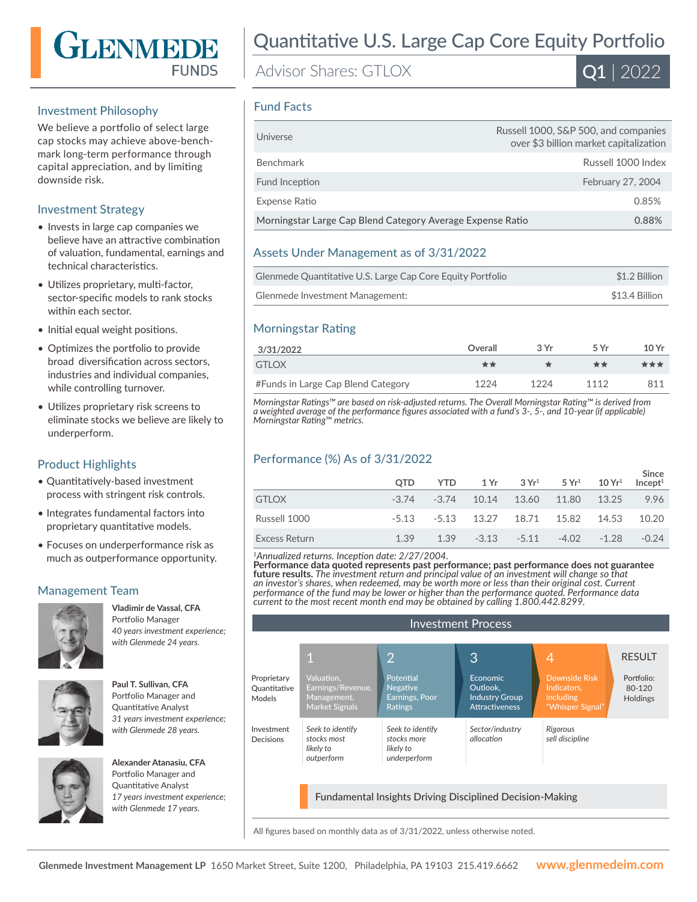

#### Investment Philosophy

We believe a portfolio of select large cap stocks may achieve above-benchmark long-term performance through capital appreciation, and by limiting downside risk.

## Investment Strategy

- Invests in large cap companies we believe have an attractive combination of valuation, fundamental, earnings and technical characteristics.
- Utilizes proprietary, multi-factor, sector-specific models to rank stocks within each sector.
- Initial equal weight positions.
- Optimizes the portfolio to provide broad diversification across sectors, industries and individual companies, while controlling turnover.
- Utilizes proprietary risk screens to eliminate stocks we believe are likely to underperform.

## Product Highlights

- Quantitatively-based investment process with stringent risk controls.
- Integrates fundamental factors into proprietary quantitative models.
- Focuses on underperformance risk as much as outperformance opportunity.

# Management Team



**Vladimir de Vassal, CFA**  Portfolio Manager *40 years investment experience; with Glenmede 24 years.*



**Paul T. Sullivan, CFA**  Portfolio Manager and Quantitative Analyst *31 years investment experience; with Glenmede 28 years.*



**Alexander Atanasiu, CFA**  Portfolio Manager and Quantitative Analyst *17 years investment experience; with Glenmede 17 years.*

# Quantitative U.S. Large Cap Core Equity Portfolio

Advisor Shares: GTLOX



#### Fund Facts

| Universe                                                   | Russell 1000, S&P 500, and companies<br>over \$3 billion market capitalization |
|------------------------------------------------------------|--------------------------------------------------------------------------------|
| <b>Benchmark</b>                                           | Russell 1000 Index                                                             |
| Fund Inception                                             | February 27, 2004                                                              |
| Expense Ratio                                              | 0.85%                                                                          |
| Morningstar Large Cap Blend Category Average Expense Ratio | 0.88%                                                                          |

#### Assets Under Management as of 3/31/2022

| Glenmede Quantitative U.S. Large Cap Core Equity Portfolio | \$1.2 Billion  |
|------------------------------------------------------------|----------------|
| Glenmede Investment Management:                            | \$13.4 Billion |

## Morningstar Rating

| 3/31/2022                          | Overall | 3Vr  | 5 Vr | 10 Yr |
|------------------------------------|---------|------|------|-------|
| GTI OX                             | **      |      | **   | ***   |
| #Funds in Large Cap Blend Category | 1224    | 1224 | 1112 | 811   |

*Morningstar Ratings™ are based on risk-adjusted returns. The Overall Morningstar Rating™ is derived from a weighted average of the performance figures associated with a fund's 3-, 5-, and 10-year (if applicable) Morningstar Rating™ metrics.*

## Performance (%) As of 3/31/2022

|               | <b>OTD</b> | <b>YTD</b> |                                         | $1\,\mathrm{Yr}$ $3\,\mathrm{Yr}^1$ $5\,\mathrm{Yr}^1$ $10\,\mathrm{Yr}^1$ | Since<br>Incept <sup>1</sup> |
|---------------|------------|------------|-----------------------------------------|----------------------------------------------------------------------------|------------------------------|
| <b>GTLOX</b>  |            |            | $-3.74$ $-3.74$ 10.14 13.60 11.80 13.25 |                                                                            | 9.96                         |
| Russell 1000  |            |            | -5.13 -5.13 13.27 18.71 15.82 14.53     |                                                                            | 10.20                        |
| Excess Return | 1.39       |            | $1.39 -3.13 -5.11 -4.02 -1.28$          |                                                                            | $-0.24$                      |

*<sup>1</sup>Annualized returns. Inception date: 2/27/2004.*

**Performance data quoted represents past performance; past performance does not guarantee future results.** *The investment return and principal value of an investment will change so that an investor's shares, when redeemed, may be worth more or less than their original cost. Current performance of the fund may be lower or higher than the performance quoted. Performance data current to the most recent month end may be obtained by calling 1.800.442.8299.*

| <b>Investment Process</b>                                       |                                                                  |                                                              |                                                                               |                                                                      |                                         |  |
|-----------------------------------------------------------------|------------------------------------------------------------------|--------------------------------------------------------------|-------------------------------------------------------------------------------|----------------------------------------------------------------------|-----------------------------------------|--|
|                                                                 |                                                                  |                                                              |                                                                               |                                                                      |                                         |  |
|                                                                 | 1                                                                | $\overline{2}$                                               | 3                                                                             | 4                                                                    | <b>RESULT</b>                           |  |
| Proprietary<br>Quantitative<br>Models                           | Valuation.<br>Earnings/Revenue,<br>Management,<br>Market Signals | Potential<br><b>Negative</b><br>Earnings, Poor<br>Ratings    | <b>Economic</b><br>Outlook.<br><b>Industry Group</b><br><b>Attractiveness</b> | Downside Risk<br>Indicators.<br><i>including</i><br>"Whisper Signal" | Portfolio:<br>80-120<br><b>Holdings</b> |  |
| Investment<br>Decisions                                         | Seek to identify<br>stocks most<br>likely to<br>outperform       | Seek to identify<br>stocks more<br>likely to<br>underperform | Sector/industry<br>allocation                                                 | Rigorous<br>sell discipline                                          |                                         |  |
| <b>Fundamental Insights Driving Disciplined Decision-Making</b> |                                                                  |                                                              |                                                                               |                                                                      |                                         |  |

All figures based on monthly data as of 3/31/2022, unless otherwise noted.